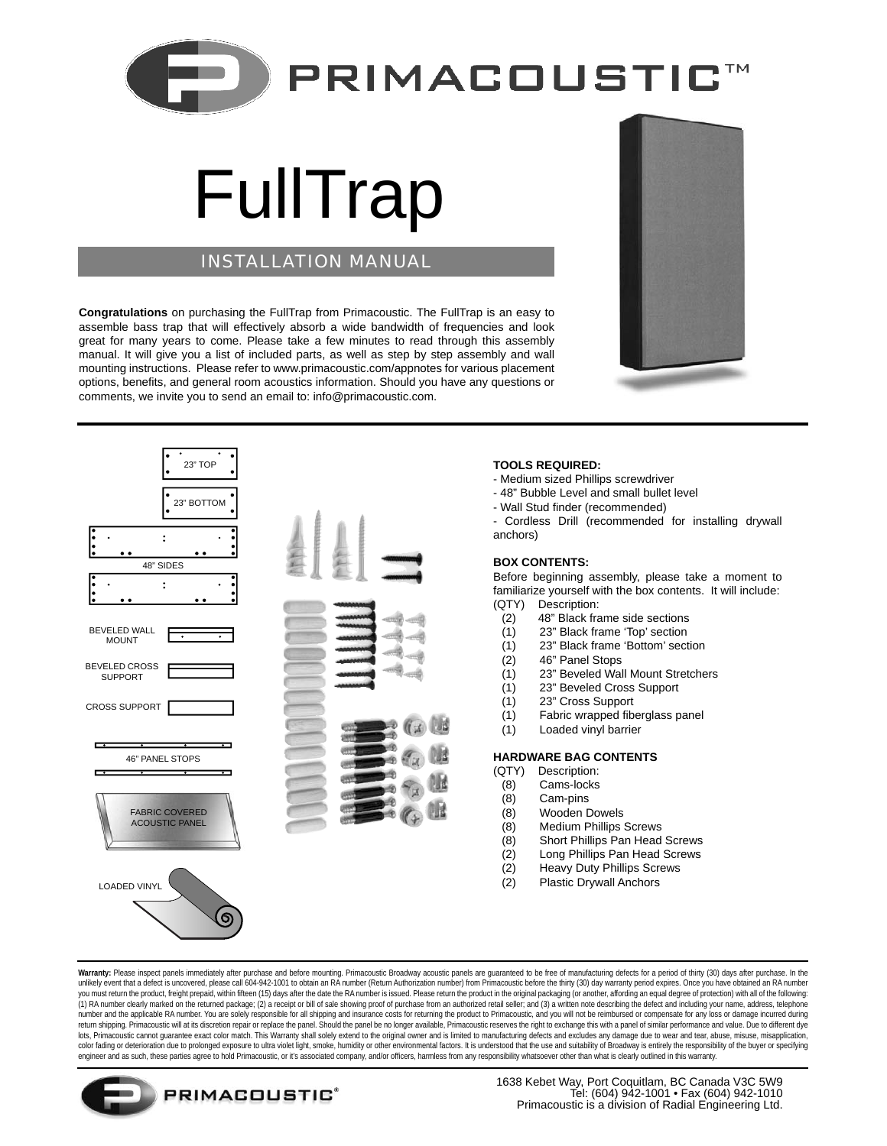

# FullTrap

## INSTALLATION MANUAL

**Congratulations** on purchasing the FullTrap from Primacoustic. The FullTrap is an easy to assemble bass trap that will effectively absorb a wide bandwidth of frequencies and look great for many years to come. Please take a few minutes to read through this assembly manual. It will give you a list of included parts, as well as step by step assembly and wall mounting instructions. Please refer to www.primacoustic.com/appnotes for various placement options, benefits, and general room acoustics information. Should you have any questions or comments, we invite you to send an email to: info@primacoustic.com.





### **TOOLS REQUIRED:**

- Medium sized Phillips screwdriver
- 48" Bubble Level and small bullet level
- Wall Stud finder (recommended)

- Cordless Drill (recommended for installing drywall anchors)

#### **BOX CONTENTS:**

Before beginning assembly, please take a moment to familiarize yourself with the box contents. It will include: (QTY) Description:

- (2) 48" Black frame side sections
- (1) 23" Black frame 'Top' section
- (1) 23" Black frame 'Bottom' section
- (2) 46" Panel Stops
- (1) 23" Beveled Wall Mount Stretchers
- (1) 23" Beveled Cross Support
- (1) 23" Cross Support
- $(1)$  Fabric wrapped fiberglass panel
- (1) Loaded vinyl barrier

#### **HARDWARE BAG CONTENTS**

- (QTY) Description:
- (8) Cams-locks
- (8) Cam-pins
- (8) Wooden Dowels
- (8) Medium Phillips Screws
- (8) Short Phillips Pan Head Screws
- (2) Long Phillips Pan Head Screws
- (2) Heavy Duty Phillips Screws
- (2) Plastic Drywall Anchors

Warranty: Please inspect panels immediately after purchase and before mounting. Primacoustic Broadway acoustic panels are guaranteed to be free of manufacturing defects for a period of thirty (30) days after purchase. In t unlikely event that a defect is uncovered, please call 604-942-1001 to obtain an RA number (Return Authorization number) from Primacoustic before the thirty (30) day warranty period expires. Once you have obtained an RA nu you must relate the product, freight prepaid, within fifteen (15) days after the date the RA number is issued. Please return the product in the product in the original packaging (or another, affording an equal degree of pr (1) RA number clearly marked on the returned package; (2) a receipt or bill of sale showing proof of purchase from an authorized retail seller; and (3) a written note describing the defect and including your name, address, number and the applicable RA number. You are solely responsible for all shipping and insurance costs for returning the product to Primacoustic, and you will not be reimbursed or compensate for any loss or damage incurred d lots, Primacoustic cannot guarantee exact color match. This Warranty shall solely extend to the original owner and is limited to manufacturing defects and excludes any damage due to wear and tear, abuse, misase, misapplica color fading or deterioration due to prolonged exposure to ultra violet light, smoke, humidity or other environmental factors. It is understood that the use and suitability of Broadway is entirely the responsibility of the engineer and as such, these parties agree to hold Primacoustic, or it's associated company, and/or officers, harmless from any responsibility whatsoever other than what is clearly outlined in this warranty.



1638 Kebet Way, Port Coquitlam, BC Canada V3C 5W9 Tel: (604) 942-1001 • Fax (604) 942-1010 Primacoustic is a division of Radial Engineering Ltd.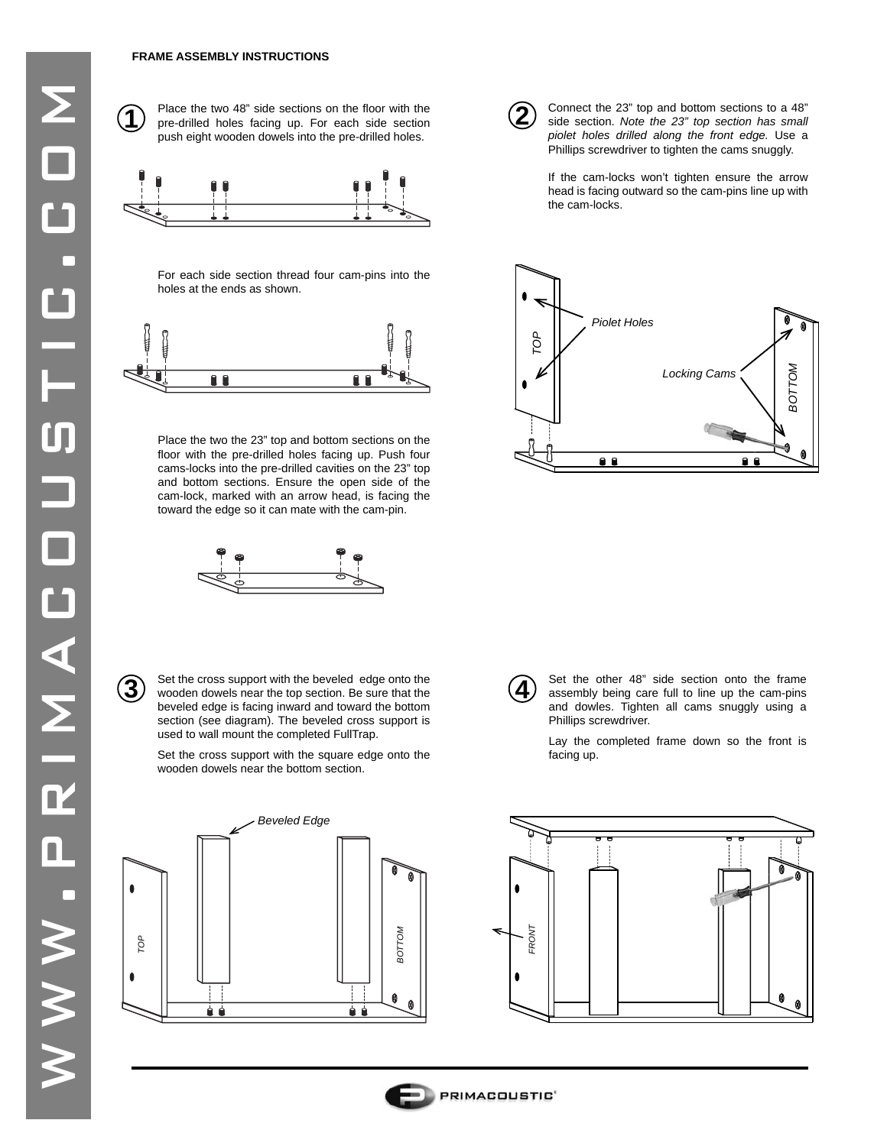#### **FRAME ASSEMBLY INSTRUCTIONS**

**1**

Place the two 48" side sections on the floor with the pre-drilled holes facing up. For each side section push eight wooden dowels into the pre-drilled holes.



For each side section thread four cam-pins into the holes at the ends as shown.



Place the two the 23" top and bottom sections on the floor with the pre-drilled holes facing up. Push four cams-locks into the pre-drilled cavities on the 23" top and bottom sections. Ensure the open side of the cam-lock, marked with an arrow head, is facing the toward the edge so it can mate with the cam-pin.



Set the cross support with the beveled edge onto the Set the cross support with the beveled edge onto the wooden dowels near the top section. Be sure that the  $\mathbf{4}$ beveled edge is facing inward and toward the bottom section (see diagram). The beveled cross support is used to wall mount the completed FullTrap.

Set the cross support with the square edge onto the wooden dowels near the bottom section.





Connect the 23" top and bottom sections to a 48" side section. *Note the 23" top section has small piolet holes drilled along the front edge.* Use a Phillips screwdriver to tighten the cams snuggly.

If the cam-locks won't tighten ensure the arrow head is facing outward so the cam-pins line up with the cam-locks.





Set the other 48" side section onto the frame assembly being care full to line up the cam-pins and dowles. Tighten all cams snuggly using a Phillips screwdriver.

Lay the completed frame down so the front is facing up.



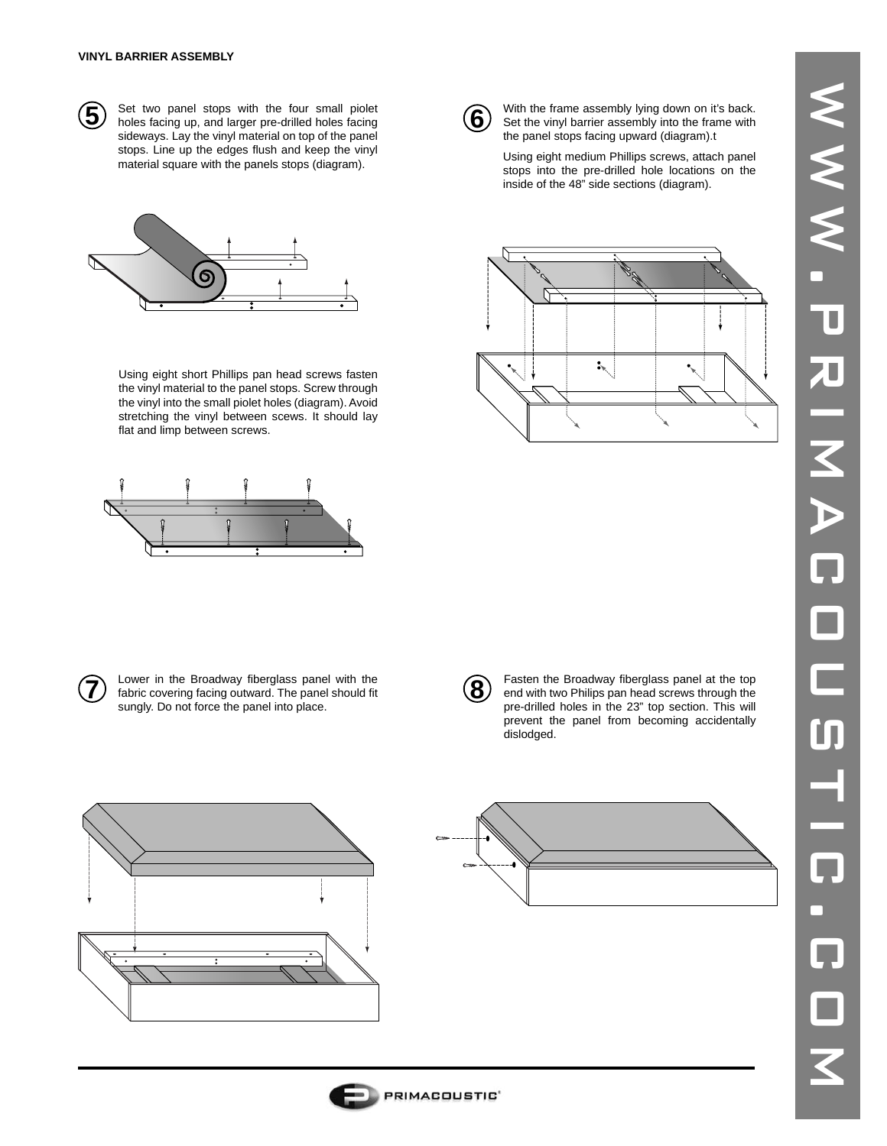

**5** Set two panel stops with the four small piolet holes facing  $\overline{6}$ sideways. Lay the vinyl material on top of the panel stops. Line up the edges flush and keep the vinyl material square with the panels stops (diagram).



Using eight short Phillips pan head screws fasten the vinyl material to the panel stops. Screw through the vinyl into the small piolet holes (diagram). Avoid stretching the vinyl between scews. It should lay flat and limp between screws.





**7** Lower in the Broadway fiberglass panel with the fabric covering facing outward. The panel should fit sungly. Do not force the panel into place.



**8** Fasten the Broadway fiberglass panel at the top end with two Philips pan head screws through the pre-drilled holes in the 23" top section. This will prevent the panel from becoming accidentally dislodged.







With the frame assembly lying down on it's back. Set the vinyl barrier assembly into the frame with the panel stops facing upward (diagram).t

Using eight medium Phillips screws, attach panel stops into the pre-drilled hole locations on the inside of the 48" side sections (diagram).